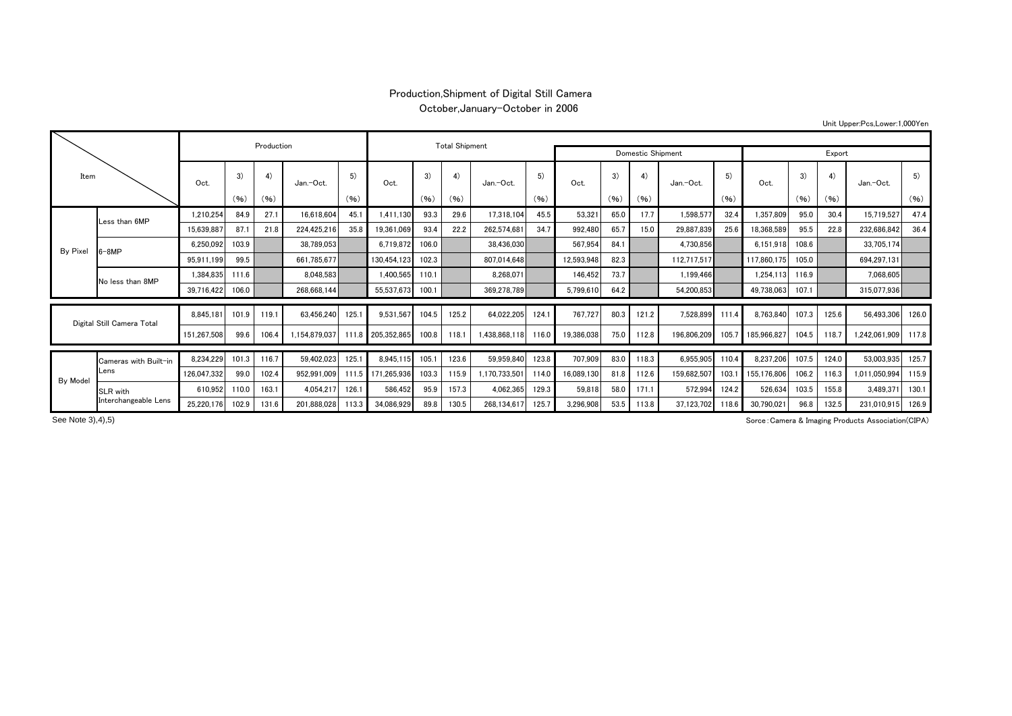## Production,Shipment of Digital Still Camera

October,January-October in 2006

| Item                       |                               |             | Production |       | <b>Total Shipment</b> |       |                   |       |       |               |                   |            |      |       |             |       |             |       |       |               |       |  |
|----------------------------|-------------------------------|-------------|------------|-------|-----------------------|-------|-------------------|-------|-------|---------------|-------------------|------------|------|-------|-------------|-------|-------------|-------|-------|---------------|-------|--|
|                            |                               |             |            |       |                       |       |                   |       |       |               | Domestic Shipment |            |      |       |             |       | Export      |       |       |               |       |  |
|                            |                               | Oct.        | 3)         | 4)    | Jan.-Oct.             | 5)    | Oct.              | 3)    | 4)    | Jan.-Oct.     | 5)                | Oct.       | 3)   | 4)    | Jan.-Oct.   | 5)    | Oct.        | 3)    | 4)    | Jan.-Oct.     | 5)    |  |
|                            |                               |             | (96)       | (96)  |                       | (96)  |                   | (96)  | (96)  |               | (96)              |            | (96) | (96)  |             | (96)  |             | (96)  | (96)  |               | (96)  |  |
|                            | Less than 6MP                 | 1,210,254   | 84.9       | 27.1  | 16,618,604            | 45.1  | 1.411.130         | 93.3  | 29.6  | 17,318,104    | 45.5              | 53,321     | 65.0 | 17.7  | 1,598,577   | 32.4  | 1,357,809   | 95.0  | 30.4  | 15,719,527    | 47.4  |  |
| By Pixel                   |                               | 15,639,887  | 87.7       | 21.8  | 224,425,216           | 35.8  | 19,361,069        | 93.4  | 22.2  | 262,574,681   | 34.7              | 992,480    | 65.7 | 15.0  | 29,887,839  | 25.6  | 18,368,589  | 95.5  | 22.8  | 232,686,842   | 36.4  |  |
|                            | $6-8MP$                       | 6.250.092   | 103.9      |       | 38,789,053            |       | 6,719,872         | 106.0 |       | 38,436,030    |                   | 567,954    | 84.1 |       | 4,730,856   |       | 6,151,918   | 108.6 |       | 33,705,174    |       |  |
|                            |                               | 95.911.199  | 99.5       |       | 661,785,677           |       | 130.454.123       | 102.3 |       | 807,014,648   |                   | 12,593,948 | 82.3 |       | 112,717,517 |       | 117,860,175 | 105.0 |       | 694,297,131   |       |  |
|                            | No less than 8MP              | 1,384,835   | 111.6      |       | 8,048,583             |       | 1,400,565         | 110.1 |       | 8,268,071     |                   | 146,452    | 73.7 |       | 1,199,466   |       | 1,254,113   | 116.9 |       | 7,068,605     |       |  |
|                            |                               | 39,716,422  | 106.0      |       | 268,668,144           |       | 55,537,673        | 100.1 |       | 369,278,789   |                   | 5,799,610  | 64.2 |       | 54,200,853  |       | 49,738,063  | 107.1 |       | 315,077,936   |       |  |
|                            |                               |             |            |       |                       |       |                   |       |       |               |                   |            |      |       |             |       |             |       |       |               |       |  |
| Digital Still Camera Total |                               | 8.845.181   | 101.9      | 119.1 | 63.456.240            | 125.1 | 9.531.567         | 104.5 | 125.2 | 64,022,205    | 124.              | 767,727    | 80.3 | 121.2 | 7.528.899   | 111.4 | 8,763,840   | 107.3 | 125.6 | 56.493.306    | 126.0 |  |
|                            |                               | 151,267,508 | 99.6       | 106.4 | 1,154,879,037         | 111.8 | 205,352,865       | 100.8 | 118.  | 438,868,118   | 116.0             | 19,386,038 | 75.0 | 112.8 | 196,806,209 | 105.7 | 185,966,827 | 104.5 | 118.7 | 1,242,061,909 | 117.8 |  |
|                            | Cameras with Built-in<br>Lens | 8,234,229   | 101.3      | 116.7 | 59,402,023            | 125.1 | 8,945,115         | 105.1 | 123.6 | 59,959,840    | 123.8             | 707,909    | 83.0 | 118.3 | 6,955,905   | 110.4 | 8,237,206   | 107.5 | 124.0 | 53,003,935    | 125.7 |  |
|                            |                               | 126,047,332 | 99.0       | 102.4 | 952.991.009           |       | 111.5 171.265.936 | 103.3 | 115.9 | 1,170,733,501 | 114.0             | 16,089,130 | 81.8 | 112.6 | 159,682,507 | 103.  | 155,176,806 | 106.2 | 116.3 | 1,011,050,994 | 115.9 |  |
| By Model                   | SLR with                      | 610.952     | 110.0      | 163.1 | 4,054,217             | 126.1 | 586,452           | 95.9  | 157.3 | 4,062,365     | 129.3             | 59,818     | 58.0 | 171.1 | 572,994     | 124.2 | 526,634     | 103.5 | 155.8 | 3,489,371     | 130.1 |  |
|                            | Interchangeable Lens          | 25.220.176  | 102.9      | 131.6 | 201,888,028           | 113.3 | 34.086.929        | 89.8  | 130.5 | 268.134.617   | 125.7             | 3.296.908  | 53.5 | 113.8 | 37.123.702  | 118.6 | 30,790,021  | 96.8  | 132.5 | 231.010.915   | 126.9 |  |

See Note 3), 4), 5)

Sorce:Camera & Imaging Products Association(CIPA)